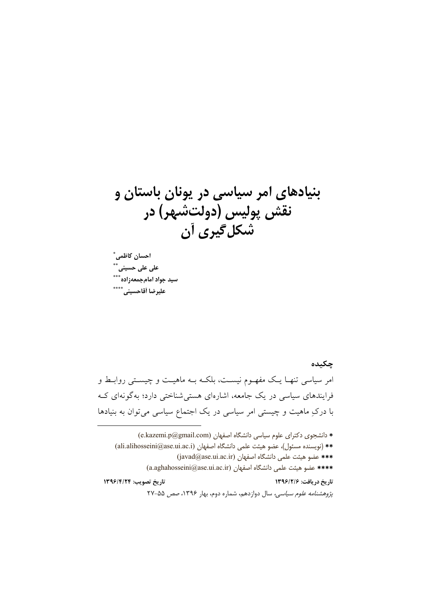بنیادهای امر سیاسی در یونان باستان و نقش پولیس (دولتشهر) در شکل گیری آن

احسان كاظمى ٌ على على حسين*ى* ٌ سید جواد امامجمعهزاده\*\*\* عليرضا أقاحسيني \*\*\*\*

چکیده امر سیاسی تنهـا یـک مفهـوم نیسـت، بلکـه بـه ماهیـت و چیسـتی روابـط و فرایندهای سیاسی در یک جامعه، اشارهای هستی شناختی دارد؛ بهگونهای ک با درکِ ماهیت و چیستی امر سیاسی در یک اجتماع سیاسی میتوان به بنیادها

\* دانشجوی دکترای علوم سیاسی دانشگاه اصفهان (e.kazemi.p@gmail.com) \*\* (نويسنده مسئول)، عضو هيئت علمي دانشگاه اصفهان (ali.alihosseini@ase.ui.ac.i) \*\*\* عضو هيئت علمي دانشگاه اصفهان (javad@ase.ui.ac.ir) \*\*\*\* عضو هيئت علمي دانشگاه اصفهان (a.aghahosseini@ase.ui.ac.ir) تاريخ تصويب: ١٣٩۶/٤/٢ تاريخ دريافت: ١٣٩٦/٢/٤ يرٌ وهشنامه علوم سياسي، سال دوازدهم، شماره دوم، بهار ١٣٩۶، صص ٥٥-٢٧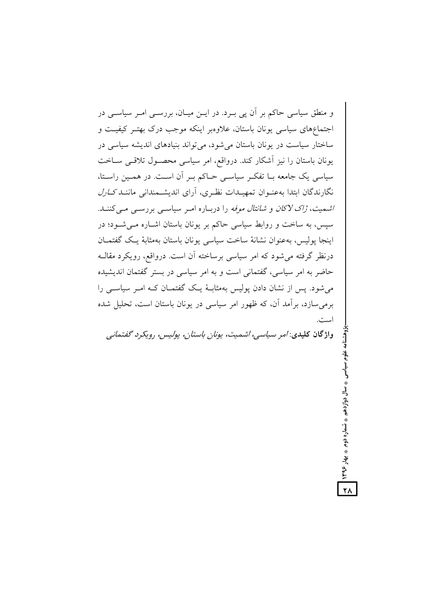و منطق سیاسی حاکم بر آن پی بــرد. در ایــن میــان، بررســی امــر سیاســی در اجتماعهای سیاسی یونان باستان، علاوهبر اینکه موجب درک بهتـر کیفیـت و ساختار سیاست در یونان باستان می شود، می تواند بنیادهای اندیشه سیاسی در یونان باستان را نیز اًشکار کند. درواقع، امر سیاسی محصـول تلاقـی ســاخت سیاسی یک جامعه بــا تفکــر سیاســی حــاکم بــر آن اســت. در همــین راسـتا، نگارندگان ابتدا به عنوان تمهیـدات نظـری، آرای اندیشـمندانی ماننـد *کـارل* /شمیت، ژاک لاکان و شانتال موفه را دربـاره امـر سیاسـی بررسـی مـی کننـد. سیس، به ساخت و روابط سیاسی حاکم بر یونان باستان اشباره می شود؛ در اينجا يوليس، بەعنوان نشانۀ ساخت سياسى يونان باستان بەمثابۀ يــک گفتمــان درنظر گرفته می شود که امر سیاسی برساخته آن است. درواقع، رویکرد مقالـه حاضر به امر سیاسی، گفتمانی است و به امر سیاسی در بستر گفتمان اندیشیده می شود. پس از نشان دادن یولیس بهمثابـهٔ یـک گفتمـان کـه امـر سیاسـی را برمیٍسازد، برآمد آن، که ظهور امر سیاسی در یونان باستان است، تحلیل شده است.

واژگان کلیدی: /مر سیاسی، اشمیت، یونان باستان، پولیس، رویکرد گفتمانی

♦ تسماره دوم ♦ بهار ۱۳۹۶

 $\overline{Y}$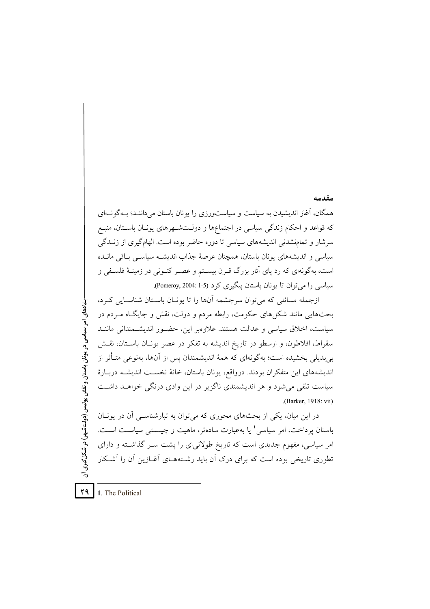همگان، آغاز اندیشیدن به سیاست و سیاستورزی را یونان باستان می داننـد؛ بـهگونـهای که قواعد و احکام زندگی سیاسی در اجتماعها و دولـتشـهرهای یونـان باسـتان، منبـع سرشار و تمامنشدنی اندیشههای سیاسی تا دوره حاضر بوده است. الهامگیری از زنــدگی سیاسی و اندیشههای یونان باستان، همچنان عرصهٔ جذاب اندیشـه سیاسـی بـاقی مانــده است، بهگونهای که رد پای آثار بزرگ قـرن بیسـتم و عصـر کنـونی در زمینـهٔ فلسـفی و سیاسی را می توان تا یونان باستان پیگیری کرد (5-1 :Pomeroy, 2004).

ازجمله مسائلی که می توان سرچشمه آنها را تا پونـان باسـتان شناسـایی کـرد، بحثهایی مانند شکل های حکومت، رابطه مردم و دولت، نقش و جایگـاه مـردم در سیاست، اخلاق سیاسی و عدالت هستند. علاوهبر این، حضـور اندیشـمندانی ماننـد سقراط، افلاطون، و ارسطو در تاریخ اندیشه به تفکر در عصر پونـان باسـتان، نقـش بیبدیلی بخشیده است؛ بهگونهای که همهٔ اندیشمندان پس از آنها، بهنوعی متـأثر از انديشههاي اين متفكران بودند. درواقع، يونان باستان، خانهٔ نخسـت انديشـه دربـارهٔ سیاست تلقی می شود و هر اندیشمندی ناگزیر در این وادی درنگی خواهـد داشـت .(Barker, 1918: vii)

در این میان، یکی از بحثهای محوری که می توان به تبارشناسبی آن در بونیان باستان پرداخت، امر سیاسی' یا بهعبارت سادهتر، ماهیت و چیستی سیاست است. امر سیاسی، مفهوم جدیدی است که تاریخ طولانیای را پشت سـر گذاشـته و دارای تطوری تاریخی بوده است که برای درک آن باید رشـتههـای آغــازین آن را آشــکار

29 1. The Political

- بنیادهای امر سیاسی در یونان باستان و نقش پولیس (دولت شهر) در شکل گیری آن

#### مقدمه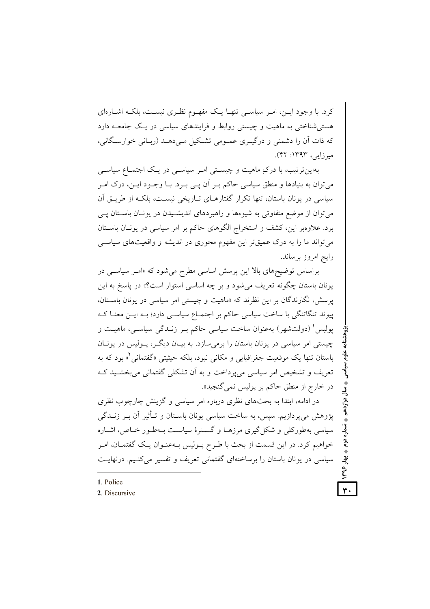کرد. با وجود ایـن، امـر سیاسـی تنهـا یـک مفهـوم نظـری نیسـت، بلکـه اشـارهای هستی شناختی به ماهیت و چیستی روابط و فرایندهای سیاسی در یک جامعــه دارد که ذات آن را دشمنی و درگیـری عمـومی تشـکیل مـی دهـد (ربـانی خوارسـگانی، میرزایر، ۱۳۹۳: ۴۲).

بهاین ترتیب، با درکِ ماهیت و چیستی امـر سیاسـی در یـک اجتمـاع سیاسـی میتوان به بنیادها و منطق سیاسی حاکم بـر آن پــی بـرد. بــا وجــود ایــن، درک امــر سیاسی در یونان باستان، تنها تکرار گفتارهـای تـاریخی نیسـت، بلکـه از طریــق اَن میتوان از موضع متفاوتی به شیوهها و راهبردهای اندیشـیدن در یونـان باسـتان پــی برد. علاوهبر این، کشف و استخراج الگوهای حاکم بر امر سیاسی در یونیان باستان می تواند ما را به درک عمیقتر این مفهوم محوری در اندیشه و واقعیتهای سیاسبی رايج امروز برساند.

براساس توضیحهای بالا این پرسش اساسی مطرح می شود که «امـر سیاسـی در یونان باستان چگونه تعریف می شود و بر چه اساسی استوار است؟» در پاسخ به این یر سش، نگارندگان بر این نظرند که «ماهیت و چیستی امر سیاسی در یونان باستان، پیوند تنگاتنگی با ساخت سیاسی حاکم بر اجتمـاع سیاسـی دارد؛ بـه ایـن معنـا کـه پولیس' (دولتشهر) بهعنوان ساخت سیاسی حاکم بـر زنــدگی سیاســی، ماهیــت و چیستی امر سیاسی در یونان باستان را برمی سازد. به بیـان دیگـر، پـولیس در یونـان باستان تنها یک موقعیت جغرافیایی و مکانی نبود، بلکه حیثیتی «گفتمانی آ» بود که به تعریف و تشخیص امر سیاسی می پرداخت و به اَن تشکلی گفتمانی می بخشـید کـه در خارج از منطق حاکم بر پولیس نمی گنجید».

در ادامه، ابتدا به بحثهای نظری درباره امر سیاسی و گزینش چارچوب نظری پژوهش میپردازیم. سپس، به ساخت سیاسی یونان باسـتان و تــأثیر آن بــر زنــدگی سیاسی بهطورکلی و شکل گیری مرزهـا و گسـترهٔ سیاسـت بـهطـور خـاص، اشـاره خواهیم کرد. در این قسمت از بحث با طـرح پــولیس بــهعنــوان یــک گفتمــان، امــر سیاسی در یونان باستان را برساختهای گفتمانی تعریف و تفسیر می کنـیم. درنهایـت

شماره دوم په بهار

١٣٩۶,

٣.

- 1 Police
- 2. Discursive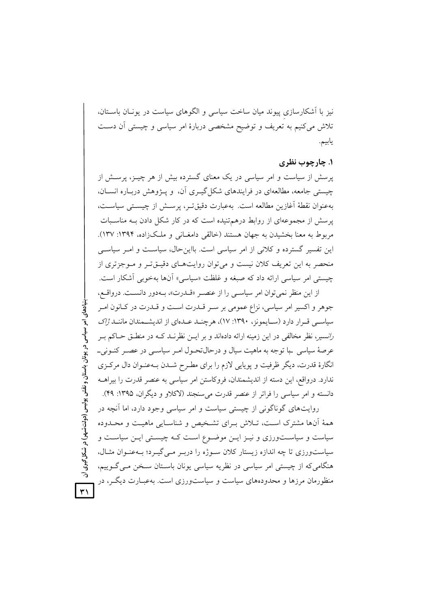نیز با آشکارسازی پیوند میان ساخت سیاسی و الگوهای سیاست در یونـان باسـتان، تلاش میکنیم به تعریف و توضیح مشخصی دربارهٔ امر سیاسی و چیستی اَن دسـت يابيم.

### ۱. چارچوب نظری

پرسش از سیاست و امر سیاسی در یک معنای گسترده بیش از هر چیــز، برســش از چیستی جامعه، مطالعهای در فرایندهای شکل گیـری آن، و پـژوهش دربـاره انسـان، بهعنوان نقطة آغازين مطالعه است. بهعبارت دقيقتر، پرسش از چيستي سياست، یرسش از مجموعهای از روابط درهمتنیده است که در کار شکل دادن بـه مناسـبات مربوط به معنا بخشیدن به جهان هستند (خالقی دامغـانی و ملـکزاده، ۱۳۹۴: ۱۳۷). این تفسیر گسترده و کلانی از امر سیاسی است. بااین حال، سیاست و امـر سیاسـی منحصر به این تعریف کلان نیست و میتوان روایتهای دقیـقتـر و مـوجزتری از چیستی امر سیاسی ارائه داد که صبغه و غلظت «سیاسی» آنها بهخوبی آشکار است.

از این منظر نمی توان امر سیاسی را از عنصر «قــدرت»، بــهدور دانســت. درواقــع، جوهر و اکسیر امر سیاسی، نزاع عمومی بر سـر قــدرت اسـت و قــدرت در کــانون امــر سیاسے قبرار دارد (سیایمونز، ۱۳۹۰: ۱۷)، هر چنید عبدای از اندیشتمندان ماننید *ژاک رانسیر، نظر مخالفی در این زمینه ارائه دادهاند و بر ایــن نظرنــد کــه در منطــق حــاکم بــر* عرصهٔ سیاسی با توجه به ماهیت سیال و درحالتحول امـر سیاسـی در عصـر کنـونی\_ انگارهٔ قدرت، دیگر ظرفیت و پویایی لازم را برای مطـرح شــدن بــهعنــوان دال مرکــزی ندارد. درواقع، این دسته از اندیشمندان، فروکاستن امر سیاسی به عنصر قدرت را بیراهــه دانسته و امر سیاسی را فراتر از عنصر قدرت می سنجند (لاکلاو و دیگران، ۱۳۹۵: ۴۹).

روایتهای گوناگونی از چیستی سیاست و امر سیاسی وجود دارد، اما آنچه در همهٔ آنها مشترک است، تـلاش بـرای تشـخیص و شناسـایی ماهیـت و محـدوده سیاست و سیاستورزی و نیـز ایـن موضـوع اسـت کـه چیسـتی ایـن سیاسـت و سیاستورزی تا چه اندازه زیستار کلان سوژه را دربـر مـی گیـرد؛ بـهعنـوان مثـال، هنگامی که از چیستی امر سیاسی در نظریه سیاسی یونان باسـتان سـخن مـی گـوییم، منظورمان مرزها و محدودههای سیاست و سیاستورزی است. بهعبـارت دیگـر، در

بنیادهای امر سیاسی در یونان باستان و نقش پولیس (دولتشهر) در شکل گیری آن  $\overline{Y}$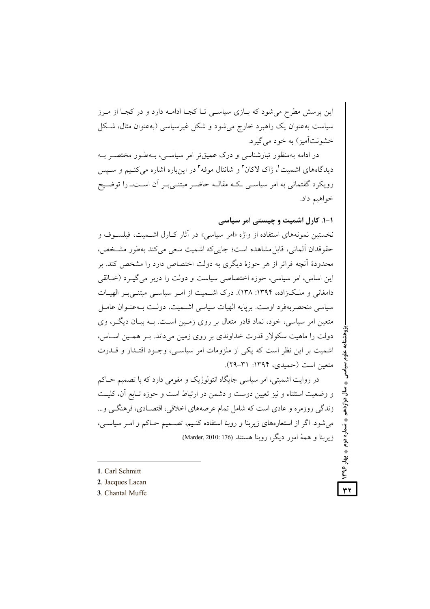این پرسش مطرح می شود که بـازی سیاسـی تـا کجـا ادامــه دارد و در کجـا از مـرز سیاست بهعنوان یک راهبرد خارج میشود و شکل غیرسیاسی (بهعنوان مثال، شکل خشونتآميز) به خود مي گيرد.

در ادامه بهمنظور تبارشناسی و درک عمیق تر امر سیاستی، بـهطـور مختصـر بـه دیدگاههای اشمیت'، ژاک لاکان' و شانتال موفه" در اینباره اشاره میکنـیم و سـپس رویکرد گفتمانی به امر سیاسـی کـه مقالـه حاضـر مبتنـیبـر آن اسـتــ را توضـیح خواهيم داد.

۱-۱. کارل اشمیت و چیستی امر سیاسی

**. تسماره دوم په بهار ۱۳۹۶** 

٣٢

نخستین نمونههای استفاده از واژه «امر سیاسی» در آثار کـارل اشــمیت، فیلســوف و حقوقدان آلماني، قابل مشاهده است؛ جايي كه اشميت سعى مي كند بهطور مشـخص، محدودهٔ اَنچه فراتر از هر حوزهٔ دیگری به دولت اختصاص دارد را مشخص کند. بر اين اساس، امر سياسي، حوزه اختصاصي سياست و دولت را دربر مي گيــرد (خــالقي دامغانی و ملکزاده، ۱۳۹۴: ۱۳۸). درک اشـمیت از امـر سیاسـی مبتنـی بـر الهیـات سیاسی منحصریهفرد اوست. برپایه الهبات سیاسی اشـمیت، دولـت پـهعنـوان عامـل متعین امر سیاسی، خود، نماد قادر متعال بر روی زمـین اسـت. بــه بیــان دیگــر، وی دولت را ماهیت سکولار قدرت خداوندی بر روی زمین میداند. بـر همـین اسـاس، اشمیت بر این نظر است که یکی از ملزومات امر سیاسبی، وجـود اقتـدار و قــدرت متعين است (حميدي، ١٣٩۴: ٣١-٢٩).

در روایت اشمیتی، امر سیاسی جایگاه انتولوژیک و مقومی دارد که با تصمیم حــاکم و وضعیت استثناء و نیز تعیین دوست و دشمن در ارتباط است و حوزه تـابع آن، کلیـت زندگی روزمره و عادی است که شامل تمام عرصههای اخلاقی، اقتصـادی، فرهنگــی و... میشود. اگر از استعارههای زیربنا و روبنا استفاده کنـیم، تصــمیم حــاکم و امــر سیاســی، زيربنا و همهٔ امور ديگر، روبنا هستند (176 Marder, 2010: 176).

- 1. Carl Schmitt
- 2. Jacques Lacan
- 3. Chantal Muffe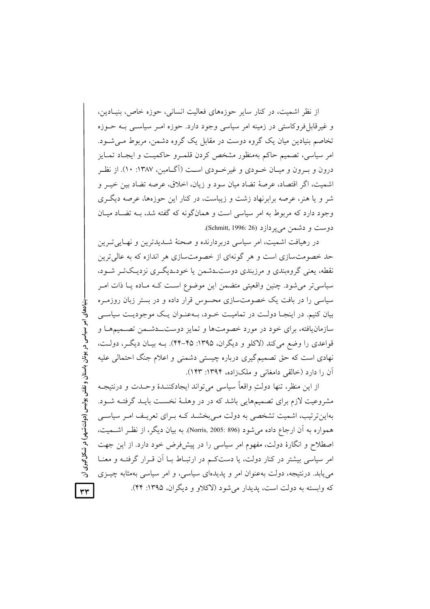از نظر اشمیت، در کنار سایر حوزههای فعالیت انسانی، حوزه خاص، بنیـادین، و غیرقابل فروکاستی در زمینه امر سیاسی وجود دارد. حوزه امـر سیاسـی بـه حــوزه تخاصم بنیادین میان یک گروه دوست در مقابل یک گروه دشمن، مربوط مـی شـود. امر سیاسی، تصمیم حاکم بهمنظور مشخص کردن قلمـرو حاکمیـت و ایجـاد تمـایز درون و به ون و میـان خــودی و غیرخــودی اســت (آگــامبن، ۱۳۸۷: ۱۰). از نظــر اشميت، اگر اقتصاد، عرصهٔ تضاد ميان سود و زيان، اخلاق، عرصه تضاد بين خيـر و شر و یا هنر، عرصه برابرنهاد زشت و زیباست، در کنار این حوزهها، عرصه دیگ ی وجود دارد که مربوط به امر سیاسی است و همانگونه که گفته شد، بـه تضـاد میـان دوست و دشمن می پر دازد (Schmitt, 1996: 26).

در رهیافت اشمیت، امر سیاسی دربردارنده و صحنهٔ شــدیدترین و نهـایی تــرین حد خصومتسازی است و هر گونهای از خصومتسازی هر اندازه که به عالی ترین نقطه، یعنی گروهبندی و مرزبندی دوست دشمن یا خود دیگری نزدیکت بشود. سیاسی تر می شود. چنین واقعیتی متضمن این موضوع است کـه مـاده یـا ذات امـر سیاسی را در بافت یک خصومتسازی محسوس قرار داده و در بستر زبان روزمـره بیان کنیم. در اینجـا دولـت در تمامیـت خـود، بـهعنـوان یـک موجودیـت سیاسـی سازمان یافته، برای خود در مورد خصومتها و تمایز دوست\_دشـمن تصـمیمهـا و قواعدي را وضع مي كند (لاكلو و ديگران، ١٣٩۵: ۴۵-۴۴). بــه بيــان ديگــر، دولــت، نهادی است که حق تصمیم گیری درباره چیستی دشمنی و اعلام جنگ احتمالی علیه آن را دارد (خالقی دامغانی و ملکزاده، ۱۳۹۴: ۱۴۳).

از این منظر، تنها دولتِ واقعاً سیاسی می تواند ایجادکننــدهٔ وحــدت و درنتیجــه مشروعیت لازم برای تصمیمهایی باشد که در در وهلـهٔ نخسـت بایـد گرفتـه شـود. بهاین ترتیب، اشمیت تشخصی به دولت مے بخشــد کــه بــرای تعریـف امــر سیاســی همواره به أن ارجاع داده مي شود (896 :2005 Norris, 2005). به بيان ديگر، از نظـر اشــميت، اصطلاح و انگارهٔ دولت، مفهوم امر سیاسی را در پیشفرض خود دارد. از این جهت امر سیاسی بیشتر در کنار دولت، یا دستکم در ارتبـاط بــا آن قــرار گرفتــه و معنــا می پابد. درنتیجه، دولت بهعنوان امر و پدیدهای سیاسی، و امر سیاسی بهمثابه چیــزی که وابسته به دولت است، پدیدار می شود (لاکلاو و دیگران، ۱۳۹۵: ۴۴).  $\forall \forall$ 

· بنیادهای امر سیاسی در یونان باستان و نقش پولیس (دولتشهر) در شکل گیری آن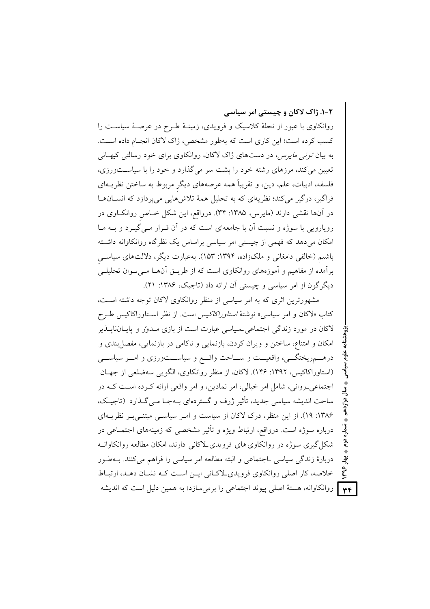٢-١. ژاک لاکان و چیستی امر سیاسی

روانکاوی با عبور از نحلهٔ کلاسیک و فرویدی، زمینـهٔ طـرح در عرصـهٔ سیاسـت را كسب كرده است؛ اين كاري است كه بهطور مشخص، ژاك لاكان انجـام داده اسـت. به بیان *تونی مایرس،* در دستهای ژاک لاکان، روانکاوی برای خود رسالتی کیهـانی تعیین می کند، مرزهای رشته خود را پشت سر می گذارد و خود را با سیاستورزی، فلسفه، ادبیات، علم، دین، و تقریباً همه عرصههای دیگر مربوط به ساختن نظریــهای فراگیر، درگیر میکند؛ نظریهای که به تحلیل همهٔ تلاشهایی میپردازد که انسانها در آنها نقشی دارند (مایرس، ۱۳۸۵: ۳۴). درواقع، این شکل خـاص روانکــاوی در رویارویی با سوژه و نسبت آن با جامعهای است که در آن قـرار مـی گیـرد و بــه مــا امکان میدهد که فهمی از چیستی امر سیاسی براساس یک نظرگاه روانکاوانه داشته باشیم (خالقی دامغانی و ملکزاده، ۱۳۹۴: ۱۵۳). بهعبارت دیگر، دلالتهای سیاسی برأمده از مفاهیم و أموزههای روانکاوی است که از طریــق أنهــا مــیتــوان تحلیلــی دیگر گون از امر سیاسی و چیستی آن ارائه داد (تاجیک، ۱۳۸۶: ۲۱).

مشهورترین اثری که به امر سیاسی از منظر روانکاوی لاکان توجه داشته است، كتاب «لاكان و امر سياسي» نوشتهٔ *استاوراكاكيس است.* از نظر اسـتاوراكاكيس طـرح لاکان در مورد زندگی اجتماعی حسیاسی عبارت است از بازی مـدور و پایـانناپــذیر امکان و امتناع، ساختن و ویران کردن، بازنمایی و ناکامی در بازنمایی، مفصل بندی و درهـــمريختگـــي، واقعيـــت و ســـاحت واقـــع و سياســـتورزي و امـــر سياســـي (استاوراکاکیس، ۱۳۹۲: ۱۴۶). لاکان، از منظر روانکاوی، الگویی سهضلعی از جهـان اجتماعي رواني، شامل امر خيالي، امر نمادين، و امر واقعي ارائه كرده است كـه در ساحت اندیشه سیاسی جدید، تأثیر ژرف و گستردهای بـهجـا مـی گـذارد (تاجیـک، ۱۳۸۶: ۱۹). از این منظر، درک لاکان از سیاست و امـر سیاسـی مبتنـی بـر نظریــهای درباره سوژه است. درواقع، ارتباط ویژه و تأثیر مشخصی که زمینههای اجتمـاعی در شکل گیری سوژه در روانکاوی های فرویدی لاکانی دارند، امکان مطالعه روانکاوانـه دربارهٔ زندگی سیاسی ـاجتماعی و البته مطالعه امر سیاسی را فراهم میکنند. بـهطـور خلاصه، کار اصلی روانکاوی فرویدی لاکانی این است که نشان دهد، ارتباط <mark>۴۴ |</mark> روانکاوانه، هستهٔ اصلی پیوند اجتماعی را برمیسازد؛ به همین دلیل است که اندیشه

ؠؙٳ  $\widetilde{\mathbf{y}}$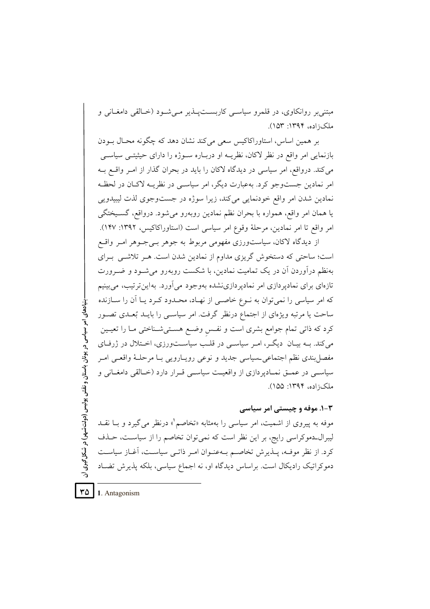مېتنې بر روانکاوي، در قلمرو سياسـې کارېســتپــــدير مــې شــود (خــالقې دامغــانې و ملک; اده، ۱۳۹۴: ۱۵۳).

بر همین اساس، استاوراکاکیس سعی میکند نشان دهد که چگونه محـال بــودن بازنمایی امر واقع در نظر لاکان، نظریــه او دربــاره ســوژه را دارای حیثیتــی سیاســی می کند. درواقع، امر سیاسی در دیدگاه لاکان را باید در بحران گذار از امـر واقــع بــه امر نمادین جستوجو کرد. بهعبارت دیگر، امر سیاسی در نظریــه لاکـان در لحظـه نمادین شدن امر واقع خودنمایی میکند، زیرا سوژه در جستوجوی لذت لیبیدویی یا همان امر واقع، همواره با بحران نظم نمادین روبهرو میشود. درواقع، گسـیختگی امر واقع تا امر نمادین، مرحلهٔ وقوع امر سیاسی است (استاوراکاکیس، ۱۳۹۲: ۱۴۷).

از دیدگاه لاکان، سیاستورزی مفهومی مربوط به جوهر بے جـوهر امـر واقـع است؛ ساحتی که دستخوش گریزی مداوم از نمادین شدن است. هـر تلاشـی بـرای بهنظم درآوردن آن در یک تمامیت نمادین، با شکست روبه رو می شـود و ضـرورت تازهای برای نمادپردازی امر نمادپردازینشده بهوجود میآورد. بهاین ترتیب، می بینیم که امر سیاسی را نمی توان به نــوع خاصــی از نهــاد، محــدود کــرد یــا اَن را ســازنده ساحت یا مرتبه ویژهای از اجتماع درنظر گرفت. امر سیاســی را بایــد بُعــدی تصــور کرد که ذاتی تمام جوامع بشری است و نفـس وضـع هسـتیشـناختی مـا را تعیـین می کند. بــه بیــان دیگـر، امـر سیاســی در قلــب سیاســتورزی، اخــتلال در ژرفــای مفصل بندي نظم اجتماعي حساسي جديد و نوعي رويـارويي بـا مرحلـهٔ واقعـي امـر سیاسبی در عمــق نمــادیردازی از واقعیــت سیاســی قــرار دارد (خــالقی دامغــانی و ملک; اده، ۱۳۹۴: ۱۵۵).

۰۳-۲ موفه و چیستی امر سیاسی

موفه به پیروی از اشمیت، امر سیاسی را بهمثابه «تخاصم<sup>"</sup>» درنظر می گیرد و بـا نقــد لیبرال۔دموکراسی رایج، بر این نظر است که نمیتوان تخاصم را از سیاست، حـذف كرد. از نظر موف، يـذيرش تخاصـم بــهعنــوان امــر ذاتـــى سياســت، آغــاز سياســت دموکراتیک رادیکال است. براساس دیدگاه او، نه اجماع سیاسی، بلکه پذیرش تضـاد

٣۵ 1. Antagonism

بنیادهای امر سیاسی در یونان باستان و نقش پولیس (دولتشهر) در شکل گیری آن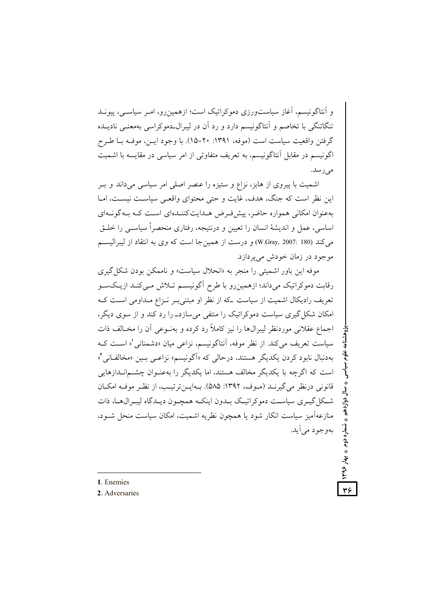و آنتاگونیسم، آغاز سیاستورزی دموکراتیک است؛ ازهمین رو، امـر سیاسـی، پیونـد تنگاتنگی با تخاصم و اَنتاگونیسم دارد و رد اَن در لیبرال دموکراسی بهمعنـی نادیــده گرفتن واقعیت سیاست است (موفه، ۱۳۹۱: ۲۰-۱۵). با وجود ایـن، موفـه بـا طـرح اگونیسم در مقابل آنتاگونیسم، به تعریف متفاوتی از امر سیاسی در مقایسه با اشمیت مى رسد.

اشمیت با پیروی از هابز، نزاع و ستیزه را عنصر اصلی امر سیاسی میداند و بـر این نظر است که جنگ، هدف، غایت و حتی محتوای واقعبی سیاست نیست، امـا بهعنوان امکانی همواره حاضر، پیشفررض هـدایتکننـدهای اسـت کـه بـهگونـهای اساسی، عمل و اندیشهٔ انسان را تعیین و درنتیجه، رفتاری منحصراً سیاسبی را خلـق می کند (W.Gray, 2007: 180) و درست از همین جا است که وی به انتقاد از لیبرالیسم موجود در زمان خودش می پر دازد.

موفه این باور اشمیتی را منجر به «انحلال سیاست» و ناممکن بودن شکل گیری رقابت دموکراتیک میداند؛ ازهمین رو با طرح اگونیسم تـلاش مـیکنـد ازیـکسـو تعریف رادیکال اشمیت از سیاست که از نظر او مبتنی به نـزاع مـداومی اسـت کـه امکان شکل گیری سیاست دموکراتیک را منتفی می سازد\_ را رد کند و از سوی دیگر، اجماع عقلانی موردنظر لیبرال۱ها را نیز کاملاً رد کرده و بهنـوعی آن را مخـالف ذات سیاست تعریف می کند. از نظر موفه، آنتاگونیسم، نزاعی میان «دشمنانی ْ» است کـه بهدنبال نابود كردن يكديگر هستند، درحالي كه «أگونيسم» نزاعـي بـين «مخالفـاني'» است که اگرچه با یکدیگر مخالف هستند، اما یکدیگر را بهعنـوان چشــم|نــدازهایی قانوني درنظر مي گيرنــد (مــوف، ١٣٩٢: ۵۸۵). بــهايــن ترتيــب، از نظـر موفــه امكــان شکل گیـری سیاسـت دموکراتیـک بـدون اینکـه همچـون دیـدگاه لیبـرال۱هـا، ذات منازعهآمیز سیاست انکار شود یا همچون نظریه اشمیت، امکان سیاست منحل شـود، بهوجود مي آيد.

دوازدهم ♦ شماره دوم ♦ بهار ٤٦٣

٣۶

1 Enemies

2. Adversaries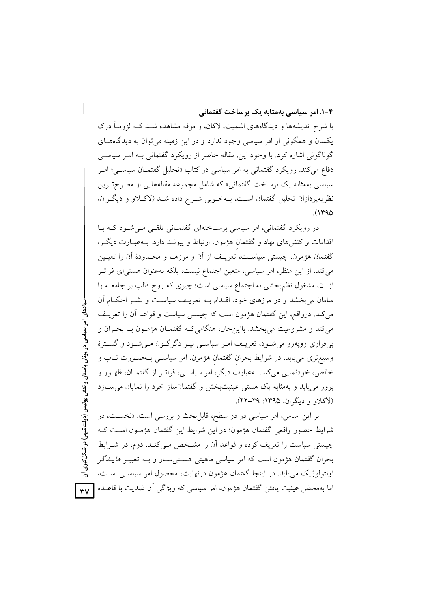#### ۴-۱. امر سیاسی بهمثابه یک برساخت گفتمانی

با شرح اندیشهها و دیدگاههای اشمیت، لاکان، و موفه مشاهده شــد کــه لزومــاً درک یکسان و همگونی از امر سیاسی وجود ندارد و در این زمینه می توان به دیدگاههای گوناگونی اشاره کرد. با وجود این، مقاله حاضر از رویکرد گفتمانی پـه امـر سیاسـی دفاع می کند. رویکرد گفتمانی به امر سیاسی در کتاب «تحلیل گفتمــان سیاســی؛ امــر سیاسی بهمثابه یک برساخت گفتمانی» که شامل مجموعه مقالههایی از مطـرحتـرین نظریهپردازان تحلیل گفتمان است، بـهخـوبی شـرح داده شـد (لاکـلاو و دیگـران،  $(1490$ 

در رویکر د گفتمانی، امر سیاسی برسـاختهای گفتمـانی تلقـی مـی شـود کـه بـا اقدامات و کنش های نهاد و گفتمان هژمون، ارتباط و پیونـد دارد. بــهعبــارت دیگــر، گفتمان هژمون، چیستی سیاست، تعریـف از اَن و مرزهـا و محـدودهٔ اَن را تعیـین میکند. از این منظر، امر سیاسی، متعین اجتماع نیست، بلکه بهعنوان هستیای فراتـر از أن، مشغول نظمبخشی به اجتماع سیاسی است؛ چیزی که روح قالب بر جامعــه را سامان می بخشد و در مرزهای خود، اقـدام بــه تعریـف سیاسـت و نشــر احکــام آن می کند. درواقع، این گفتمان هژمون است که چیستی سیاست و قواعد آن را تعریـف می کند و مشروعیت می بخشد. بااین حال، هنگامی کـه گفتمـان هژمـون بـا بحـران و بیقراری روبهرو میشود، تعریـف امـر سیاسـی نیـز دگرگـون مـیشـود و گسـترهٔ وسیع تری می یابد. در شرایط بحران گفتمان هژمون، امر سیاســی بــهصــورت نــاب و خالص، خودنمایی می کند. بهعبارت دیگر، امر سیاسبی، فراتـر از گفتمــان، ظهـور و بروز می یابد و بهمثابه یک هستی عینیتبخش و گفتمانساز خود را نمایان می سازد (لاکلاو و دیگران، ۱۳۹۵: ۴۹–۴۲).

بر این اساس، امر سیاسی در دو سطح، قابل بحث و بررسی است: «نخست، در شرایط حضور واقعی گفتمان هژمون؛ در این شرایط این گفتمان هژمـون اسـت کـه چیستی سیاست را تعریف کرده و قواعد آن را مشخص مےکند. دوم، در شـرایط بحران گفتمان هژمون است که امر سیاسی ماهیتی هستی سـاز و بــه تعبیــر *هایــدگر* اونتولوژیک می یابد. در اینجا گفتمان هژمون درنهایت، محصول امر سیاسبی است، اما بهمحض عینیت یافتن گفتمان هژمون، امر سیاسی که ویژگی آن ضدیت با قاعــده  $YV$ 

بنیادهای امر سیاسی در یونان باستان و نقش پولیس (دولتشهو) در شکل گیری آن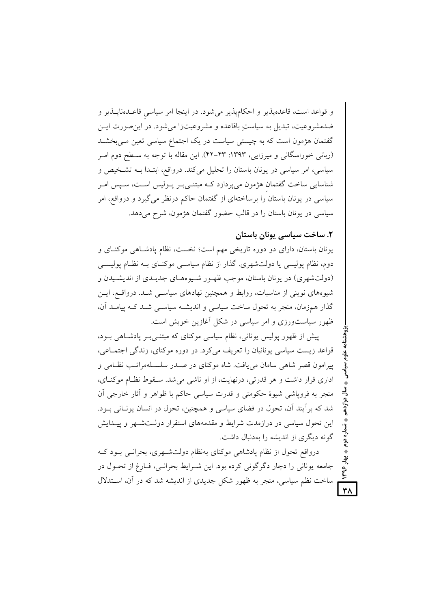و قواعد است، قاعدهپذیر و احکامپذیر میشود. در اینجا امر سیاسی قاعـدهناپـذیر و ضدمشروعيت، تبديل به سياستِ باقاعده و مشروعيتزا مي شود. در اين صورت ايـن گفتمان هژمون است که به چیستی سیاست در یک اجتماع سیاسی تعین مـیبخشــد (ربانی خوراسگانی و میرزایی، ۱۳۹۳: ۴۳-۴۲). این مقاله با توجه به سـطح دوم امـر سیاسی، امر سیاسی در یونان باستان را تحلیل می کند. درواقع، ابتـدا بـه تشـخیص و شناسایی ساخت گفتمان هژمون میپردازد کـه مبتنـیبـر پـولیس اسـت، سـپس امـر سیاسی در یونان باستان را برساختهای از گفتمان حاکم درنظر می گیرد و درواقع، امر سیاسی در یونان باستان را در قالب حضور گفتمان هژمون، شرح می دهد.

# ٢. ساخت سياسي يونان باستان

بهار ۱۳۹۶

 $\forall \lambda$ 

یونان باستان، دارای دو دوره تاریخی مهم است؛ نخست، نظام یادشاهی موکنـای و دوم، نظام پولیسی یا دولتشهری. گذار از نظام سیاسـی موکنـای بـه نظـام پولیســی (دولت شهري) در يونان باستان، موجب ظهـور شـيوههـاي جديـدي از انديشـيدن و شیوههای نوینی از مناسبات، روابط و همچنین نهادهای سیاسـی شـد. درواقـع، ایـن گذار همزمان، منجر به تحول ساخت سیاسی و اندیشـه سیاسـی شـد کـه پیامـد آن، ظهور سیاستورزی و امر سیاسی در شکل آغازین خویش است.

پیش از ظهور پولیس یونانی، نظام سیاسی موکنای که مبتنـیبـر پادشـاهی بـود، قواعد زيست سياسي يونانيان را تعريف مي كرد. در دوره موكناي، زندگي اجتمـاعي، پیرامون قصر شاهی سامان می یافت. شاه موکنای در صدر سلسلهمراتب نظامی و اداري قرار داشت و هر قدرتي، درنهايت، از او ناشي مي شد. سـقوط نظـام موكنـاي، منجر به فروياشي شيوهٔ حکومتي و قدرت سياسي حاکم با ظواهر و اَثار خارجي اَن شد که برآیند آن، تحول در فضای سیاسی و همچنین، تحول در انسان یونـانی بـود. این تحول سیاسی در درازمدت شرایط و مقدمههای استقرار دولـتشـهر و پیـدایش گونه دیگری از اندیشه را بهدنبال داشت.

درواقع تحول از نظام یادشاهی موکنای بهنظام دولتشـهری، بحرانـبی بـود کـه جامعه یونانی را دچار دگرگونی کرده بود. این شـرایط بحرانـی، فـارغ از تحـول در ساخت نظم سیاسی، منجر به ظهور شکل جدیدی از اندیشه شد که در آن، اســتدلال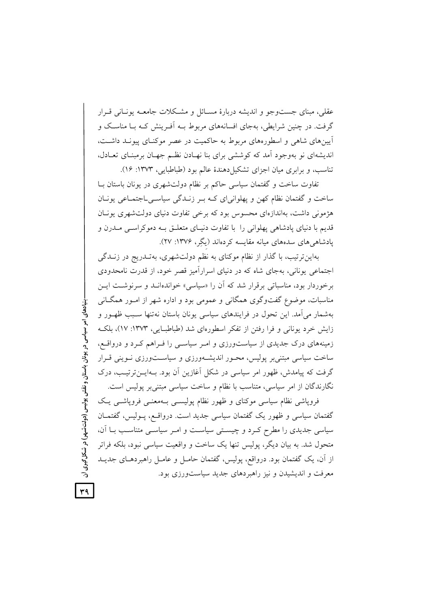عقلبی، مبنای جستوجو و اندیشه دربارهٔ مسـائل و مشـکلات جامعــه یونــانی قــرار گرفت. در چنین شرایطی، بهجای افسانههای مربوط بــه اَفـرینش کــه بــا مناســک و آیینهای شاهی و اسطورههای مربوط به حاکمیت در عصر موکنـای پیونـد داشـت، اندیشهای نو بهوجود آمد که کوششی برای بنا نهـادن نظـم جهـان برمبنـای تعـادل، تناسب، و برابری میان اجزای تشکیل دهندهٔ عالم بود (طباطبایی، ۱۳۷۳: ۱۶).

تفاوت ساخت و گفتمان سیاسی حاکم بر نظام دولتشهری در یونان باستان بـا ساخت و گفتمان نظام کهن و پهلوانیای کـه بـر زنـدگی سیاسـیLجتمـاعی یونـان هژمونی داشت، بهاندازهای محسوس بود که برخی تفاوت دنیای دولتشهری یونیان قدیم با دنیای یادشاهی یهلوانی را با تفاوت دنیـای متعلـق بــه دموکراســی مــدرن و یادشاهی های سدههای مبانه مقایسه کردهاند (یگر، ۱۳۷۶: ۲۷).

بهاین ترتیب، با گذار از نظام موکنای به نظم دولتشهری، به تـدریج در زنــدگی اجتماعی پونانی، بهجای شاه که در دنیای اسرارآمیز قصر خود، از قدرت نامحدودی برخوردار بود، مناسباتی برقرار شد که آن را «سیاسی» خواندهانـد و سرنوشـت ایـن مناسبات، موضوع گفتوگوی همگانی و عمومی بود و اداره شهر از امـور همگــانی بهشمار میآمد. این تحول در فرایندهای سیاسی یونان باستان نهتنها سـبب ظهـور و زایش خرد یونانی و فرا رفتن از تفکر اسطورهای شد (طباطبایی، ۱۳۷۳: ۱۷)، بلک زمینههای درک جدیدی از سیاستورزی و امـر سیاسـی را فـراهم کـرد و درواقـع، ساخت سیاسی مبتنی بر پولیس، محـور اندیشـهورزی و سیاسـتورزی نـوینی قـرار گرفت که پیامدش، ظهور امر سیاسی در شکل آغازین آن بود. بـهایــنترتیــب، درک نگارندگان از امر سیاسی، متناسب با نظام و ساخت سیاسی مبتنی بر پولیس است.

فروپاشی نظام سیاسی موکنای و ظهور نظام پولیسمی بـهمعنـی فروپاشـی یـک گفتمان سیاسی و ظهور یک گفتمان سیاسی جدید است. درواقع، پـولیس، گفتمــان سیاسی جدیدی را مطرح کـرد و چیسـتی سیاسـت و امـر سیاسـی متناسـب بـا آن، متحول شد. به بیان دیگر، پولیس تنها یک ساخت و واقعیت سیاسی نبود، بلکه فراتر از آن، یک گفتمان بود. درواقع، پولیس، گفتمان حامـل و عامـل راهبردهـای جدیــد معرفت و اندیشیدن و نیز راهبردهای جدید سیاستورزی بود.

. بنیادهای امر سیاسی در یونان باستان و نقش پولیس (دولت شهر) در شکل گیری آن

 $\forall$ 9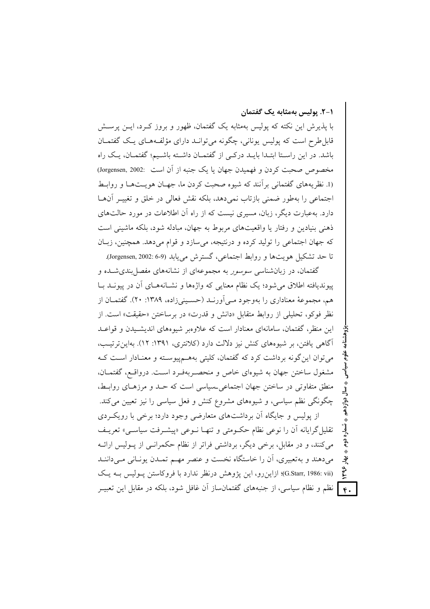۰۱–۲. بولیس بهمثابه یک گفتمان

شماره دوم

تۇ

با پذیرش این نکته که پولیس بهمثابه یک گفتمان، ظهور و بروز کـرد، ایــن پرســش قابل طرح است که پولیس پونانی، چگونه می توانـد دارای مؤلفـههـای یـک گفتمـان باشد. در این راستا ابتدا بایید درکے از گفتمیان داشته باشیم؛ گفتمیان، یک راه مخصوص صحبت کردن و فهمیدن جهان یا یک جنبه از اَن است :002[. Jorgensen, 2002] (1. نظریههای گفتمانی بر آنند که شیوه صحبت کردن ما، جهـان هویـتهـا و روابـط اجتماعی را بهطور ضمنی بازتاب نمی دهد، بلکه نقش فعالی در خلق و تغییـر آنهـا دارد. بهعبارت دیگر، زبان، مسیری نیست که از راه آن اطلاعات در مورد حالتهای ذهني بنيادين و رفتار يا واقعيتهاي مربوط به جهان، مبادله شود، بلكه ماشيني است که جهان اجتماعی را تولید کرده و درنتیجه، می سازد و قوام می دهد. همچنین، زبـان تا حد تشکیل هویتها و روابط اجتماعی، گسترش می یابد (Jorgensen, 2002: 6-9).

گفتمان، در زبانشناسی *سوسور* به مجموعهای از نشانههای مفصل بندی شده و پیوندیافته اطلاق می شود؛ یک نظام معنایی که واژهها و نشـانههـای اَن در پیونــد بــا هم، مجموعهٔ معناداری را بهوجود مـی|ورنــد (حســینی(اده، ۱۳۸۹: ۲۰). گفتمــان از نظر فوكو، تحليلي از روابط متقابل «دانش و قدرت» در برساختن «حقيقت» است. از این منظر، گفتمان، سامانهای معنادار است که علاوهبر شیوههای اندیشـیدن و قواعـد آگاهی یافتن، بر شیوههای کنش نیز دلالت دارد (کلانتری، ۱۳۹۱: ۱۲). بهاین ترتیب، می توان این گونه برداشت کرد که گفتمان، کلیتی بههـمپیوسـته و معنـادار اسـت کـه مشغول ساختن جهان به شیوهای خاص و منحصـربهفـرد اسـت. درواقـع، گفتمـان، منطق متفاوتی در ساختن جهان اجتماعی بسیاسی است که حـد و مرزهـای روابـط، چگونگی نظم سیاسی، و شیوههای مشروع کنش و فعل سیاسی را نیز تعیین می کند. از پولیس و جایگاه آن برداشتهای متعارضی وجود دارد؛ برخی با رویک دی تقلیل گرایانه آن را نوعی نظام حکـومتی و تنهـا نـوعی «پیشـرفت سیاسـی» تعریـف می کنند، و در مقابل، برخی دیگر، برداشتی فراتر از نظام حکمرانـی از پـولیس ارائــه می دهند و بهتعبیری، آن را خاستگاه نخست و عنصر مهـم تمـدن یونـانی مـیداننـد (G.Starr, 1986: vii)؛ ازاین رو، این پژوهش درنظر ندارد با فروکاستن پـولیس بـه یـک .**۴ |** نظم و نظام سیاسی، از جنبههای گفتمانساز آن غافل شود، بلکه در مقابل این تعبیــر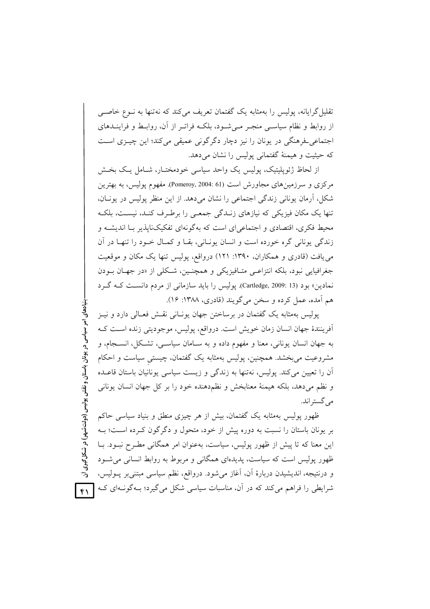تقلیل گرایانه، پولیس را بهمثابه یک گفتمان تعریف می کند که نهتنها به نــوع خاصــی از روابط و نظام سیاسبی منجـر مـی شـود، بلکـه فراتـر از آن، روابـط و فراینــدهای اجتماعی فرهنگی در یونان را نیز دچار دگرگونی عمیقی میکند؛ این چیـزی اسـت که حشت و هیمنهٔ گفتمانی پولیس را نشان می دهد.

از لحاظ ژئویلیتیک، یولیس یک واحد سیاسی خودمختـار، شـامل یـک بخـش مرکزی و سرزمینهای مجاورش است (61 :Pomeroy, 2004). مفهوم پولیس، به بهترین شکل، آرمان یونانی زندگی اجتماعی را نشان میدهد. از این منظر پولیس در یونـان، تنها یک مکان فیزیکی که نیازهای زنـدگی جمعـی را برطـرف کنـد، نیسـت، بلکـه محیط فکری، اقتصادی و اجتماعی ای است که بهگونهای تفکیکناپذیر بــا اندیشــه و زندگی یونانی گره خورده است و انسان یونـانی، بقـا و کمـال خـود را تنهـا در آن می یافت (قادری و همکاران، ۱۳۹۰: ۱۲۱) درواقع، یولیس تنها یک مکان و موقعیت جغرافيايي نبود، بلكه انتزاعـي متـافيزيكي و همچنـين، شـكلي از «در جهـان بــودن نمادین» بود (Cartledge, 2009: 13). یولیس را باید سازمانی از مردم دانست کـه گـرد هم آمده، عمل کرده و سخن میگویند (قادری، ۱۳۸۸: ۱۶).

پولیس بهمثابه یک گفتمان در برساختن جهان یونـانی نقــش فعـالی دارد و نیــز أفرينندهٔ جهان انسان زمان خويش است. درواقع، پوليس، موجوديتي زنده است كـه به جهان انسان يوناني، معنا و مفهوم داده و به سـامان سياســي، تشــكل، انســجام، و مشروعیت میبخشد. همچنین، پولیس بهمثابه یک گفتمان، چیستی سیاست و احکام اّن را تعیین می کند. پولیس، نهتنها به زندگی و زیست سیاسی پونانیان باستان قاعـده و نظم می دهد، بلکه هیمنهٔ معنابخش و نظم دهنده خود را بر کل جهان انسان یونانی مي گستراند.

ظهور پولیس بهمثابه یک گفتمان، بیش از هر چیزی منطق و بنیاد سیاسی حاکم بر یونان باستان را نسبت به دوره پیش از خود، متحول و دگرگون کـرده اسـت؛ بـه این معنا که تا پیش از ظهور پولیس، سیاست، بهعنوان امر همگانی مطـرح نبــود. بــا ظهور پولیس است که سیاست، پدیدهای همگانی و مربوط به روابط انسانی می شـود و درنتیجه، اندیشیدن دربارهٔ اَن، اَغاز میشود. درواقع، نظم سیاسی مبتنیبر پــولیس، شرایطی را فراهم میکند که در آن، مناسبات سیاسی شکل میگیرد؛ بـهگونــهای کــه |  $\mathbf{r}$ 

بنیادهای امر سیاسی در یونان باستان و نقش پولیس (دولتشهر) در شکل گیری آن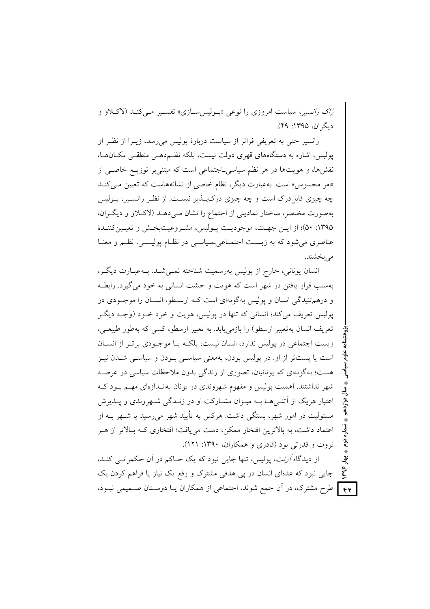*ژاک رانسی*ر، سیاست امروزی را نوعی «پـولیس سـازی» تفسـیر مـی کنـد (لاکــلاو و دیگران، ۱۳۹۵: ۴۹).

رانسپر حتی به تعریفی فراتر از سیاست دربارهٔ پولیس میرسد، زیــرا از نظـر او یولیس، اشاره به دستگاههای قهری دولت نیست، بلکه نظـم۵هـی منطقـی مکــانهــا، نقشها، و هویتها در هر نظم سیاسیLجتماعی است که مبتنی بر توزیــع خاصــی از «امر محسوس» است. به عبارت دیگر، نظام خاصی از نشانههاست که تعیین مـیکنـد چه چیزی قابل درک است و چه چیزی درک پـــلـــیر نیســـت. از نظــر رانســـیر، پــولیس بهصورت مختصر، ساختار نماديني از اجتماع را نشان مـىدهـد (لاكـلاو و ديگـران، ۱۳۹۵: ۵۰)؛ از ایـن جهـت، موجودیـت پـولیس، مشـروعیتبخـش و تعیـین کننـدهٔ عناصري مي شود كه به زيست اجتمـاعي\_سياسـي در نظـام پوليسـي، نظـم و معنـا مي بخشند.

انسان یونانی، خارج از پولیس بهرسمیت شناخته نمـی شـد. بـهعبـارت دیگـر، بهسبب قرار یافتن در شهر است که هویت و حیثیت انسانی به خود می گیرد. رابطـه و درهم تنیدگی انسان و پولیس بهگونهای است کـه ارسـطو، انســان را موجـودی در يوليس تعريف مي کند؛ انساني که تنها در يوليس، هويت و خرد خــود (وجــه ديگــر تعریف انسان بهتعبیر ارسطو) را بازمی یابد. به تعبیر ارسطو، کسی که بهطور طبیعـی، زیست اجتماعی در پولیس ندارد، انسان نیست، بلکـه یـا موجـودی برتـر از انسـان است یا پستتر از او. در پولیس بودن، بهمعنی سیاسی بودن و سیاسی شـدن نیـز هست؛ بهگونهای که یونانیان، تصوری از زندگی بدون ملاحظات سیاسی در عرصـه شهر نداشتند. اهمیت پولیس و مفهوم شهروندی در یونان بهانـدازهای مهـم بـود کـه اعتبار هریک از آتنبی هـا بــه میــزان مشــارکت او در زنــدگی شــهروندی و پــذیرش مسئولیت در امور شهر، بستگی داشت. هرکس به تأیید شهر می رسید یا شبهر بـه او اعتماد داشت، به بالاترین افتخار ممکن، دست می یافت؛ افتخاری کـه بـالاتر از هـر ثروت و قدرتی بود (قادری و همکاران، ۱۳۹۰: ۱۲۱).

از دیدگاه *آرنت*، پولیس، تنها جایی نبود که یک حــاکم در آن حکمرانــی کنــد، ؠؙٳ  $440$ جایی نبود که عدهای انسان در یی هدفی مشترک و رفع یک نیاز یا فراهم کردن یک **۴۲ |** طرح مشترک، در آن جمع شوند، اجتماعی از همکاران یـا دوسـتان صــمیمی نبــود،

تسماره دوم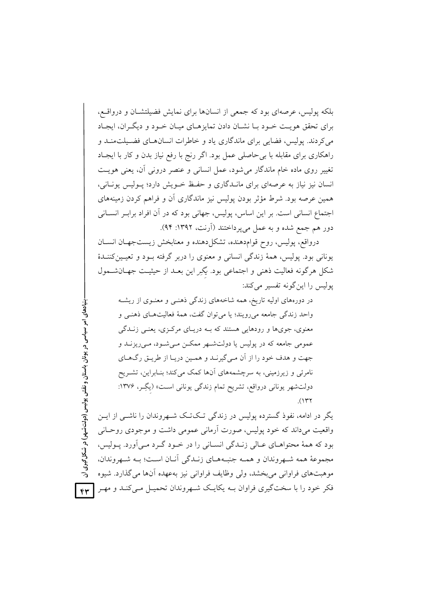بلکه پولیس، عرصهای بود که جمعی از انسانها برای نمایش فضیلتشـان و درواقــع، برای تحقق هویت خـود بـا نشـان دادن تمایزهـای میـان خـود و دیگـران، ایجـاد می کردند. پولیس، فضایی برای ماندگاری یاد و خاطرات انسان های فضیلت منـد و راهکاری برای مقابله با بی حاصلی عمل بود. اگر رنج با رفع نیاز بدن و کار با ایجـاد تغییر روی ماده خام ماندگار می شود، عمل انسانی و عنصر درونی آن، یعنی هویت انسان نیز نیاز به عرصهای برای مانـدگاری و حفـظ خـویش دارد؛ پـولیس یونـانی، همین عرصه بود. شرط مؤثر بودن پولیس نیز ماندگاری آن و فراهم کردن زمینههای اجتماع انسانی است. بر این اساس، پولیس، جهانی بود که در آن افراد برابـر انســانی دور هم جمع شده و به عمل می پرداختند (اَرنت، ۱۳۹۲: ۹۴).

درواقع، پولیس، روح قوام دهنده، تشکل دهنده و معنابخش زیستجهـان انســان یونانی بود. پولیس، همهٔ زندگی انسانی و معنوی را دربر گرفته بـود و تعیـین کننـدهٔ شکل هرگونه فعالیت ذهنی و اجتماعی بود. یگرِ این بعـد از حیثیـت جهـانشــمول یولیس را این گونه تفسیر می کند:

در دورههای اولیه تاریخ، همه شاخههای زندگی ذهنـی و معنـوی از ریشـه واحد زندگی جامعه میرویند؛ یا می توان گفت، همهٔ فعالیتهای ذهنبی و معنوي، جوي،ها و رودهايي هستند كه بــه دريــاي مركــزي، يعنــي زنــدگي عمومي جامعه كه در پوليس يا دولتشـهر ممكـن مـيشـود، مـي(يزنــد و جهت و هدف خود را از آن مـي گيرنـد و همـين دريـا از طريـق رگهـاي نامرئی و زیرزمینی، به سرچشمههای آنها کمک میکند؛ بنـابراین، تشـریح دولتشهر یونانی درواقع، تشریح تمام زندگی یونانی است» (یگِـر، ۱۳۷۶:  $(14)$ 

یگر در ادامه، نفوذ گسترده یولیس در زندگی تـکتـک شـهروندان را ناشـی از ایـن واقعیت میداند که خود پولیس، صورت اَرمانی عمومی داشت و موجودی روحـانی بود که همهٔ محتواهـای عـالی زنـدگی انسـانی را در خـود گـرد مـی آورد. پـولیس، مجموعهٔ همه شـهروندان و همـه جنبـههـای زنـدگی آنـان اسـت؛ بـه شـهروندان، موهبتهای فراوانی می بخشد، ولی وظایف فراوانی نیز بهعهده آنها می گذارد. شیوه فکر خود را با سختگیری فراوان بــه یکایــک شــهروندان تحمیــل مــیکنــد و مهــر

بنیادهای امر سیاسی در یونان باستان و نقش پولیس (دولتشهر) در شکل گیری آن  $_{\rm TV}$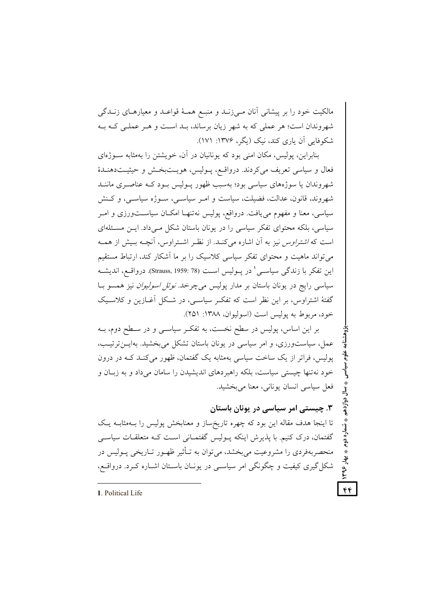مالکیت خود را بر پیشانی آنان مـیزنــد و منبــع هـمــهٔ قواعــد و معیارهــای زنــدگی شهروندان است؛ هر عملي كه به شهر زيان برساند، بـد اسـت و هـر عملـي كـه بـه شکوفایی آن یاری کند، نیک (یگر، ۱۳۷۶: ۱۷۱).

بنابراین، پولیس، مکان امنی بود که بونانیان در آن، خویشتن را بهمثابه سبوژهای فعال و سیاسی تعریف می کردند. درواقـع، پــولیس، هویــتبخـش و حیثیــتدهنــدهٔ شهروندان یا سوژههای سیاسی بود؛ بهسبب ظهور پـولیس بـود کـه عناصـری ماننـد شهروند، قانون، عدالت، فضیلت، سیاست و امـر سیاسـی، سـوژه سیاسـی، و کـنش سیاسی، معنا و مفهوم می یافت. درواقع، پولیس نهتنهـا امکـان سیاسـتورزی و امـر سیاسی، بلکه محتوای تفکر سیاسی را در یونان باستان شکل مـیcاد. ایــن مسـئلهای است که *اشتراوس* نیز به آن اشاره می کنـد. از نظـر اشـتراوس، آنچـه بـیش از همـه می تواند ماهیت و محتوای تفکر سیاسی کلاسیک را بر ما آشکار کند، ارتباط مستقیم این تفکر با زندگی سیاسـی' در پــولیس اسـت (Strauss, 1959: 78). درواقــع، اندیشــه سیاسی رایج در یونان باستان بر مدار پولیس میچرخد. *نوئل اسولیوان* نیز همسو بــا گفتهٔ اشتراوس، بر این نظر است که تفک ِ سیاسـی، در شـکل اَغــازین و کلاسـیک خود، مربوط به یولیس است (اسولیوان، ۱۳۸۸: ۲۵۱).

بر این اساس، پولیس در سطح نخست، به تفکر سیاسـی و در سـطح دوم، بــه عمل، سیاستورزی، و امر سیاسی در یونان باستان تشکل می بخشید. بهایــنترتیــب، پولیس، فراتر از یک ساخت سیاسی بهمثابه یک گفتمان، ظهور میکند کـه در درون خود نهتنها چیستی سیاست، بلکه راهبردهای اندیشیدن را سامان می داد و به زبـان و فعل سياسي انسان يوناني، معنا مي بخشيد.

۳. چیستے امر سیاسے در یونان باستان تا اینجا هدف مقاله این بود که چهره تاریخ ساز و معنابخش پولیس را بـهمثابـه یـک گفتمان، درک کنیم. با پذیرش اینکه پـولیس گفتمـانی اسـت کـه متعلقـات سیاســی منحصربهفردی را مشروعیت می بخشد، می توان به تـأثیر ظهـور تـاریخی پـولیس در شکل گیری کیفیت و چگونگی امر سیاسی در یونـان باسـتان اشـاره کـرد. درواقـع،

● تسماره دوم

، بهار ۱۳۹۶

 $f(f)$ 

1. Political Life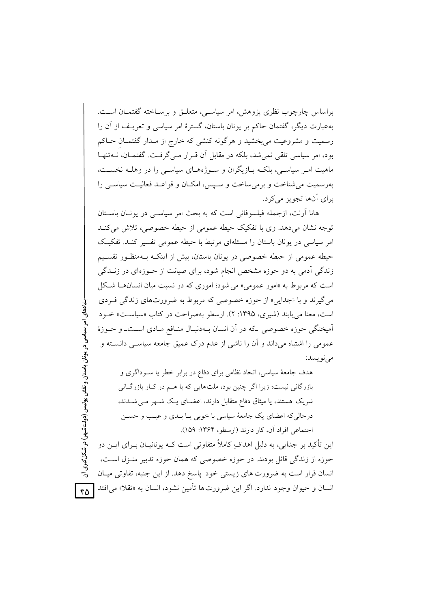براساس چارچوب نظری پژوهش، امر سیاسبی، متعلـق و برسـاخته گفتمــان اســت. بهعبارت دیگر، گفتمان حاکم بر یونان باستان، گسترهٔ امر سیاسی و تعریـف از آن را رسمیت و مشروعیت می بخشید و هرگونه کنشی که خارج از مـدار گفتمـان حــاکم بود، امر سیاسی تلقی نمی شد، بلکه در مقابل آن قبرار مبی گرفت. گفتمیان، نیهتنهیا ماهیت امـر سیاسـی، بلکـه بــازیگران و ســوژههــای سیاســی را در وهلــه نخســت، بهرسمیت می شناخت و برمی ساخت و سپس، امکان و قواعد فعالیت سیاسی را برای آنها تجویز می کرد.

هانا اَرنت، ازجمله فیلسوفانی است که به بحث امر سیاســی در پونــان باســتان توجه نشان می دهد. وی با تفکیک حیطه عمومی از حیطه خصوصی، تلاش می کنـد امر سیاسی در یونان پاستان را مسئلهای مرتبط با حیطه عمومی تفسیر کنید. تفکیک حیطه عمومی از حیطه خصوصی در یونان باستان، بیش از اینکـه بـهمنظـور تقسـیم زندگی اَدمی به دو حوزه مشخص انجام شود، برای صیانت از حـوزهای در زنــدگی است که مربوط به «امور عمومی» می شود؛ اموری که در نسبت میان انسان ها شکل مي گيرند و يا «جدايي» از حوزه خصوصي كه مربوط به ضرورتهاي زندگي فيردي است، معنا می پابند (شیری، ۱۳۹۵: ۲). ارسطو بهصراحت در کتاب «سیاست» خـود آمیختگی حوزه خصوصی که در آن انسان بـهدنبـال منـافع مـادی اسـتــ و حــوزهٔ عمومی را اشتباه میداند و آن را ناشی از عدم درک عمیق جامعه سیاسی دانسته و مي نو پسد:

هدف جامعهٔ سیاسی، اتحاد نظامی برای دفاع در برابر خطر یا سـوداگری و بازرگانی نیست؛ زیرا اگر چنین بود، ملتهایی که با هـم در کـار بازرگـانی شریک هستند، یا میثاق دفاع متقابل دارند، اعضـای یـک شـهر مـی شـدند، درحالي كه اعضاي يك جامعهٔ سياسي با خوبي پــا بــدي و عيــب و حســن اجتماعي افراد آن، كار دارند (ارسطو، ۱۳۶۴: ۱۵۹).

این تأکید بر جدایی، به دلیل اهدافِ کاملاً متفاوتی است کـه یونانیــان بــرای ایــن دو حوزه از زندگی قائل بودند. در حوزه خصوصی که همان حوزه تدبیر منـزل اسـت، انسان قرار است به ضرورت های زیستی خود یاسخ دهد. از این جنبه، تفاوتی میـان انسان و حیوان وجود ندارد. اگر این ضرورتها تأمین نشود، انسان به «تقلا» می افتد

بنیادهای امر سیاسی در یونان باستان و نقش پولیس (دولتشهر) در شکل گیری آن

 $60$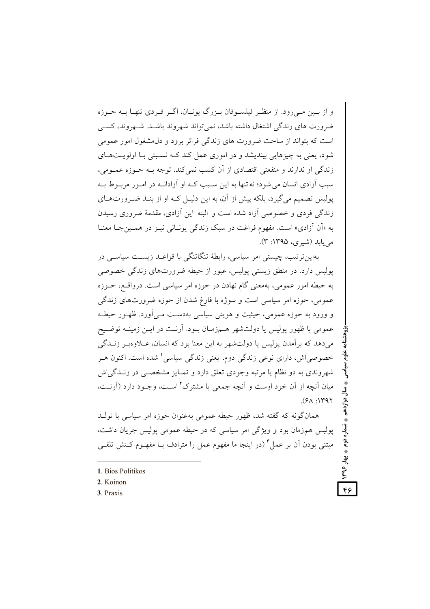و از پین مے رود. از منظیر فیلسوفان پیزرگ پونیان، اگیر فیردی تنهیا پیه جیوزه ضرورت های زندگی اشتغال داشته باشد، نمی تواند شهروند باشـد. شـهروند، کسـی است که بتواند از ساحت ضرورت های زندگی فراتر برود و دل مشغول امور عمومی شود، بعنی به چیزهایی بیندیشد و در اموری عمل کند کـه نسـبتی بـا اولویـتهـای زندگی او ندارند و منفعتی اقتصادی از آن کسب نمی کند. توجه بـه حــوزه عمــومی، سبب آزادی انسان می شود؛ نه تنها به این سبب کـه او آزادانـه در امـور مربـوط بـه پولیس تصمیم می گیرد، بلکه پیش از آن، به این دلیـل کــه او از بنــد ضــرورتحــای زندگی فردی و خصوصی آزاد شده است و البته این آزادی، مقدمهٔ ضروری رسیدن به «أن أزادي» است. مفهوم فراغت در سبک زندگی پونیانی نییز در همین جبا معنیا مریابلد (شیری، ۱۳۹۵: ۳).

بهاین تر تیب، چیستی امر سیاسی، رابطهٔ تنگاتنگی با قواعـد زیسـت سیاسـی در یولیس دارد. در منطق زیستی پولیس، عبور از حیطه ضرورتهای زندگی خصوصی به حیطه امور عمومی، بهمعنی گام نهادن در حوزه امر سیاسی است. درواقع، حــوزه عمومي، حوزه امر سياسي است و سوژه با فارغ شدن از حوزه ضرورتهاي زندگي و ورود به حوزه عمومي، حيثيت و هويتي سياسي بهدست مـي اَورد. ظهـور حيطـه عمومی با ظهور پولیس یا دولتشهر هـمزمـان بـود. آرنـت در ایــن زمینــه توضــیح می دهد که بر آمدن پولیس یا دولتشهر به این معنا بود که انسان، عبلاوهب زنبدگی خصوصیاش، دارای نوعی زندگی دوم، یعنی زندگی سیاسی' شده است. اکنون هـر شهروندي به دو نظام يا مرتبه وجودي تعلق دارد و تمـايز مشخصــي در زنــدگي/ش میان آنچه از آن خود اوست و آنچه جمعی یا مشترک ٔ اسـت، وجـود دارد (آرنـت،  $(50.149)$ 

همان گونه که گفته شد، ظهور حبطه عمومی بهعنوان حوزه امر سیاسی با تولید پولیس همزمان بود و ویژگی امر سیاسی که در حیطه عمومی پولیس جریان داشت، مبتنی بودن اَن بر عمل ؓ (در اینجا ما مفهوم عمل را مترادف بــا مفهــوم کــنش تلقــی

**په شماره دوم په بهار ۱۳۹۶** 

46

3. Praxis

<sup>1.</sup> Bios Politikos

<sup>2</sup> Koinon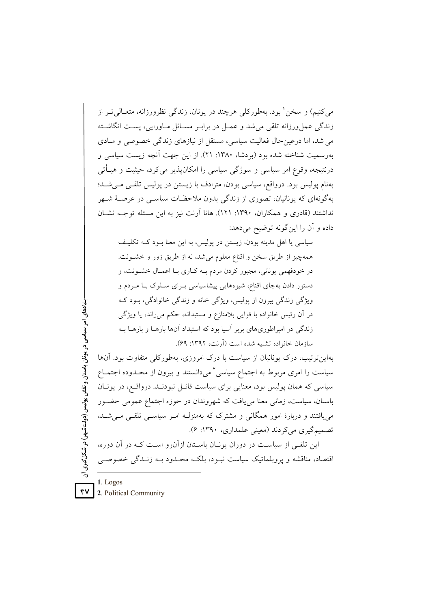مي کنيم) و سخن' بود. بهطورکلي هرچند در يونان، زندگي نظرورزانه، متعــالي تــر از زندگی عمل ورزانه تلقی می شد و عمــل در برابـر مســائل مــاورایی، پســت انگاشــته می شد، اما درعین حال فعالیت سیاسی، مستقل از نیازهای زندگی خصوصی و مـادی به سمیت شناخته شده بود (بردشا، ۱۳۸۰: ۲۱). از این جهت آنچه زیست سیاسی و درنتیجه، وقوع امر سیاسی و سوژگی سیاسی را امکان پذیر می کرد، حیثیت و هیــأتی بهنام پولیس بود. درواقع، سیاسی بودن، مترادف با زیستن در پولیس تلقـی مـیشـد؛ بهگونهای که یونانیان، تصوری از زندگی بدون ملاحظـات سیاســی در عرصــهٔ شــهر نداشتند (قادری و همکاران، ۱۳۹۰: ۱۲۱). هانا آرنت نیز به این مسئله توجـه نشــان داده و آن را این گونه توضیح میدهد:

سیاسی یا اهل مدینه بودن، زیستن در پولیس، به این معنا بـود کــه تکلیــف همهچیز از طریق سخن و اقناع معلوم می شد، نه از طریق زور و خشـونت. در خودفهمی یونانی، مجبور کردن مردم بـه کـاری بـا اعمـال خشـونت، و دستور دادن بهجای اقناع، شیوههایی پیشاسیاسی بـرای سـلوک بـا مـردم و ویژگی زندگی بیرون از پولیس، ویژگی خانه و زندگی خانوادگی، بـود کـه در آن رئيس خانواده با قوايي بلامنازع و مستبدانه، حكم مي راند، يا ويژگي زندگی در امیراطوریهای بربر آسیا بود که استبداد آنها بارهــا و بارهــا بــه سازمان خانواده تشبیه شده است (آرنت، ۱۳۹۲: ۶۹).

بنیادهای امر سیاسی در یونان باستان و نقش پولیس (دولتشهر) در شکل گیری آن بهاین ترتیب، درک یونانیان از سیاست با درک امروزی، بهطورکلی متفاوت بود. آنها سیاست را امری مربوط به اجتماع سیاسی ٔ میدانستند و بیرون از محـدوده اجتمـاع سیاسی که همان پولیس بود، معنایی برای سیاست قائـل نبودنـد. درواقـع، در یونـان باستان، سیاست، زمانی معنا می یافت که شهروندان در حوزه اجتماع عمومی حضـور می یافتند و دربارهٔ امور همگانی و مشترک که بهمنزلـه امـر سیاسـی تلقـی مـی شـد. تصمیم گیری می کردند (معینی علمداری، ۱۳۹۰: ۶). این تلقی از سیاست در دوران یونـان باسـتان ازآن(و اسـت کـه در آن دوره،

اقتصاد، مناقشه و پروبلماتیک سیاست نبود، بلکـه محـدود بـه زنـدگی خصوصـی

1. Logos 2. Political Community

۴V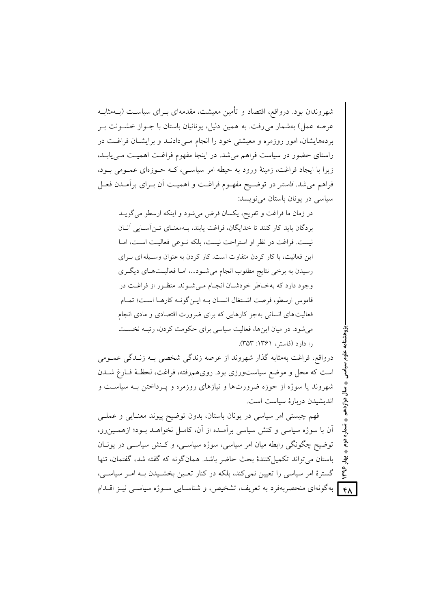شهروندان بود. درواقع، اقتصاد و تأمین معیشت، مقدمهای بــرای سیاســت (بــهمثابــه عرصه عمل) بهشمار می رفت. به همین دلیل، یونانیان باستان با جــواز خشــونت بــر بردههایشان، امور روزمره و معیشتی خود را انجام مـی دادنـد و برایشـان فراغـت در راستای حضور در سیاست فراهم می شد. در اینجا مفهوم فراغت اهمیت مـی یابـد، زیرا با ایجاد فراغت، زمینهٔ ورود به حیطه امر سیاستی، کـه حـوزمای عمـومی بـود، فراهم میشد. *فاستر* در توضـیح مفهـوم فراغـت و اهمیـت آن بـرای برآمـدن فعـل سیاسی در یونان باستان می نویسد:

در زمان ما فراغت و تفریح، یکسان فرض میشود و اینکه ارسطو میگویــد بردگان بايد كار كنند تا خدايگان، فراغت يابند، بـهمعنـاي تـن[سـايي آنـان نيست. فراغت در نظر او استراحت نيست، بلكه نبوعي فعاليت است، امبا این فعالیت، با کار کردن متفاوت است. کار کردن به عنوان وسـیله ای بـرای رسیدن به برخی نتایج مطلوب انجام میشود...، امـا فعالیـتهـای دیگـری وجود دارد كه بهخـاطر خودشـان انجـام مـي شـوند. منظـور از فراغـت در قاموس ارسطو، فرصت اشتغال انسـان بـه ايـن گونـه كارهـا اسـت؛ تمـام فعالیتهای انسانی بهجز کارهایی که برای ضرورت اقتصادی و مادی انجام میشود. در میان اینها، فعالیت سیاسی برای حکومت کردن، رتبـه نخسـت را دارد (فاستر، ۱۳۶۱: ۳۵۳).

درواقع، فراغت بهمثابه گذار شهروند از عرصه زندگی شخصی بــه زنــدگی عمــومی است که محل و موضع سیاستورزی بود. رویهمهرفته، فراغت، لحظـهٔ فـارغ شــدن شهروند یا سوژه از حوزه ضرورتها و نیازهای روزمره و پـرداختن بـه سیاسـت و اندیشیدن دریارهٔ سیاست است.

فهم چیستی امر سیاسی در یونان باستان، بدون توضیح پیوند معنـایی و عملـی آن با سوژه سیاسی و کنش سیاسی برآمـده از آن، کامـل نخواهـد بـود؛ ازهمـین٫و، توضیح چگونگی رابطه میان امر سیاسی، سوژه سیاسی، و کـنش سیاســی در یونــان باستان می تواند تکمیل کنندهٔ بحث حاضر باشد. همان گونه که گفته شد، گفتمان، تنها  $\zeta$ گسترهٔ امر سیاسی را تعیین نمی کند، بلکه در کنار تعـین بخشـیدن بـه امـر سیاسـی، ] بهگونهای منحصربهفرد به تعریف، تشخیص، و شناسـایی سـوژه سیاسـی نیـز اقــدام  $f \wedge$ 

شماره دوم

ؠٚٳ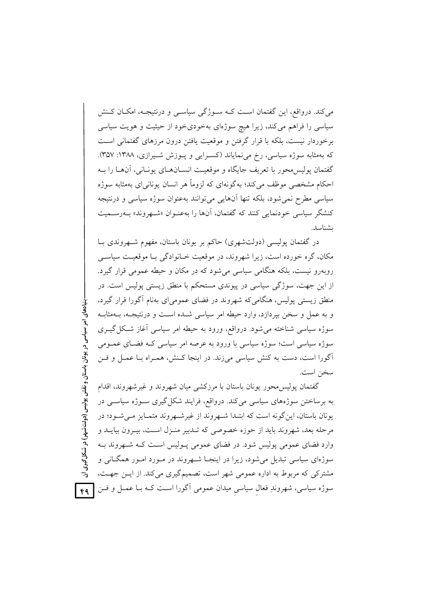می کند. درواقع، این گفتمان است کــه ســوژگی سیاســی و درنتیجــه، امکــان کــنش سیاسی را فراهم میکند، زیرا هیچ سوژهای بهخودیخود از حیثیت و هویت سیاسی برخوردار نیست، بلکه با قرار گرفتن و موقعیت یافتن درون مرزهای گفتمانی است که بهمثابه سوژه سیاسی، رخ می نمایاند (کسـرایی و پـوزش شـیرازی، ۱۳۸۸: ۳۵۷). گفتمان يوليس محور با تعريف جايگاه و موقعيت انســانهــاي يونــاني، آنهــا را بــه احکام مشخصی موظف میکند؛ بهگونهای که لزوماً هر انسان یونانیای بهمثابه سوژه سیاسی مطرح نمی شود، بلکه تنها آنهایی میتوانند به عنوان سوژه سیاسی و درنتیجه کنشگر سیاسی خودنمایی کنند که گفتمان، آنها را بهعنـوان «شـهروند» بــهرســمیت ىشناسد.

در گفتمان پولیسی (دولتشهری) حاکم بر یونان باستان، مفهوم شبهروندی بـا مکان، گره خورده است، زیرا شهروند، در موقعیت خـانوادگی بـا موقعیـت سیاســی روبهرو نیست، بلکه هنگامی سیاسی می شود که در مکان و حیطه عمومی قرار گیرد. از این جهت، سوژگی سیاسی در پیوندی مستحکم با منطق زیستی پولیس است. در منطق زیستی پولیس، هنگامی که شهروند در فضای عمومی ای بهنام آگورا قرار گیرد، و به عمل و سخن بیردازد، وارد حیطه امر سیاسی شـده اسـت و درنتیجـه، بـهمثابـه سوژه سیاسی شناخته می شود. درواقع، ورود به حیطه امر سیاسی آغاز شکل گیــری سوژه سیاسی است؛ سوژه سیاسی با ورود به عرصه امر سیاسی کـه فضـای عمـومی آگورا است، دست به کنش سیاسی میزند. در اینجا کـنش، همـراه بـا عمـل و فـن سخن است.

بنیادهای امر سیاسی در یونان باستان و نقش پولیس (دولت شہر) در شکل گیری آن گفتمان پولیس،حور یونان باستان با مرزکشی میان شهروند و غیرشهروند، اقدام به برساختن سوژههای سیاسی میکند. درواقع، فرایند شکل گیری سـوژه سیاسـی در یونان باستان، این گونه است که ابتـدا شـهروند از غیرشـهروند متمـایز مـی شـود؛ در مرحله بعد، شهروند بايد از حوزه خصوصي كه تـدبير منـزل اسـت، بيـرون بيايــد و وارد فضای عمومی پولیس شود. در فضای عمومی پـولیس اسـت کـه شـهروند بـه سوژهای سیاسی تبدیل می شود، زیرا در اینجـا شـهروند در مـورد امـور همگـانی و مشترکی که مربوط به اداره عمومی شهر است، تصمیمگیری میکند. از ایـن جهـت، سوژه سیاسی، شهروندِ فعال سیاسی میدان عمومی آگورا است کـه بـا عمـل و فـن  $f$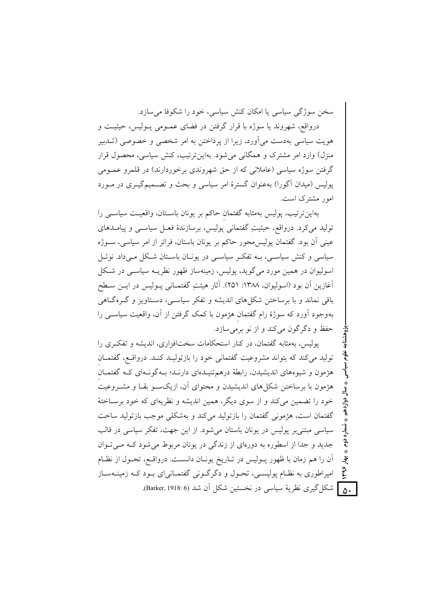سخن سوژگی سیاسی یا امکان کنش سیاسی، خود را شکوفا می سازد.

درواقع، شهروند يا سوژه با قرار گرفتن در فضاي عمـومي پـوليس، حيثيـت و هويت سياسي بهدست مي آورد، زيرا از يرداختن به امر شخصي و خصوصي (تــدبير منزل) وارد امر مشترک و همگانی می شود. بهاین تر تیب، کنش سیاسی، محصول قرار گرفتن سوژه سیاسی (عاملانی که از حق شهروندی برخوردارند) در قلمرو عمـومی پولیس (میدان آگورا) بهعنوان گسترهٔ امر سیاسی و بحث و تصـمیمگیـری در مـورد امور مشترک است.

بهاین ترتیب، پولیس بهمثابه گفتمان حاکم بر یونان باســتان، واقعیــت سیاســی را توليد مي كرد. درواقع، حيثيتِ گفتماني يوليس، برسازندۀ فعــل سياســي و پيامــدهاي عینی آن بود. گفتمان پولیس محور حاکم بر یونان باستان، فراتر از امر سیاسی، سـوژه سیاسی و کنش سیاسـی، بــه تفکـر سیاسـی در یونــان باسـتان شــکل مــی۱داد. نوئــل اسوليوان در همين مورد مي گويد، پوليس، زمينهساز ظهور نظريــه سياســي در شــكل آغازین آن بود (اسولیوان، ۱۳۸۸: ۲۵۱). آثار هیئتِ گفتمـانی پــولیس در ایــن ســطح باقی نماند و با برساختن شکل های اندیشه و تفکر سیاسی، دسـتاویز و گـرهگـاهی بهوجود آورد که سوژهٔ رام گفتمان هژمون با کمک گرفتن از آن، واقعیت سیاسبی را حفظ و دگر گون می کند و از نو برمی سازد.

پولیس، بهمثابه گفتمان، در کنار استحکامات سختافزاری، اندیشه و تفکری را تولید می کند که بتواند مشروعیت گفتمانی خود را بازتولیـد کنـد. درواقـع، گفتمـان هژمون و شیوههای اندیشیدن، رابطهٔ درهمتنیـدهای دارنـد؛ بـهگونـهای کـه گفتمـان هژمون با برساختن شکل های اندیشیدن و محتوای آن، ازیکسو بقـا و مشـروعیت خود را تضمین می کند و از سوی دیگر، همین اندیشه و نظریهای که خود برسـاختهٔ گفتمان است، هژمونی گفتمان را بازتولید می کند و بهشکلی موجب بازتولید ساخت سیاسی مبتنی بر پولیس در یونان باستان میشود. از این جهت، تفکر سیاسی در قالب جدید و جدا از اسطوره به دورهای از زندگی در یونان مربوط می شود کـه مـی تـوان أن را هم زمان با ظهور پــوليس در تــاريخ يونــان دانســت. درواقــع، تحــول از نظــام امپراطوری به نظـام پولیســی، تحــول و دگرگــونی گفتمــانی|ی بــود کــه زمینــهســاز . هم | شکل گیری نظریهٔ سیاسی در نخستین شکل اَن شد (Barker, 1918: 6).

۔ شمارہ دوم ؠؙٳ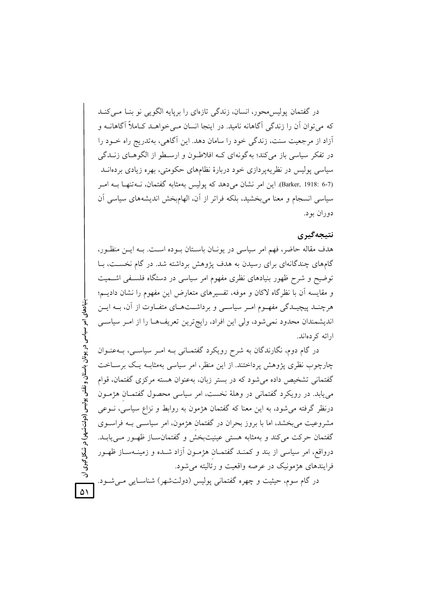در گفتمان پولیس محور، انسان، زندگی تازهای را برپایه الگویی نو بنـا مـی کنـد که می توان آن را زندگی آگاهانه نامید. در اینجا انسان مـی خواهــد کــاملاً آگاهانــه و آزاد از مرجعیت سنت، زندگی خود را سامان دهد. این آگاهی، بهتدریج راه خـود را در تفکر سیاسی باز میکند؛ به گونهای کـه افلاطـون و ارسـطو از الگوهـای زنــدگی سیاسی پولیس در نظریه یردازی خود دربارهٔ نظامهای حکومتی، بهره زیادی بردهانــد (Barker, 1918: 6-7). این امر نشان می دهد که پولیس بهمثابه گفتمان، نــهتنهـا بــه امــر سیاسی انسجام و معنا میبخشید، بلکه فراتر از آن، الهامبخش اندیشههای سیاسی آن دوران بو د.

## نتىجەگىرى

هدف مقاله حاضر، فهم امر سياسي در يونـان باسـتان بـوده اسـت. بـه ايـن منظـور، گامهای چندگانهای برای رسیدن به هدف پژوهش برداشته شد. در گام نخست، بـا توضیح و شرح ظهور بنیادهای نظری مفهوم امر سیاسی در دستگاه فلسـفی اشــمیت و مقايسه آن با نظرٍ گاه لاكان و موفه، تفسيرِهاي متعارض اين مفهوم را نشان داديـم؛ هرچنــد پیچیــدگی مفهــوم امــر سیاســی و برداشــتهــای متفــاوت از آن، بــه ایــن اندیشمندان محدود نمیشود، ولی این افراد، رایجترین تعریفها را از امـر سیاسـی ارائه که دهاند.

در گام دوم، نگارندگان به شرح رویکرد گفتمـانی بــه امــر سیاســی، بــهعنــوان چارچوب نظری پژوهش پرداختند. از این منظر، امر سیاسی بهمثابـه یـک برسـاخت گفتمانی تشخیص داده می شود که در بستر زبان، بهعنوان هسته مرکزی گفتمان، قوام می،یابد. در رویکرد گفتمانی در وهلهٔ نخست، امر سیاسی محصول گفتمـان هژمـون درنظر گرفته می شود، به این معنا که گفتمان هژمون به روابط و نزاع سیاسی، نــوعی مشروعیت می بخشد، اما با بروز بحران در گفتمان هژمون، امر سیاسبی بــه فراســوی گفتمان حرکت می کند و بهمثابه هستی عینیتبخش و گفتمانسـاز ظهـور مـی یابـد. درواقع، امر سیاسی از بند و کمنـد گفتمـان هژمـون آزاد شـده و زمینـهسـاز ظهـور فرایندهای هژمونیک در عرصه واقعیت و رئالیته می شود. در گام سوم، حیثیت و چهره گفتمانی پولیس (دولتشهر) شناسـایی مـیشـود.

بنیادهای امر سیاسی در یونان باستان و نقش پولیس (دولت شهر) در شکل گیری آن  $\Delta$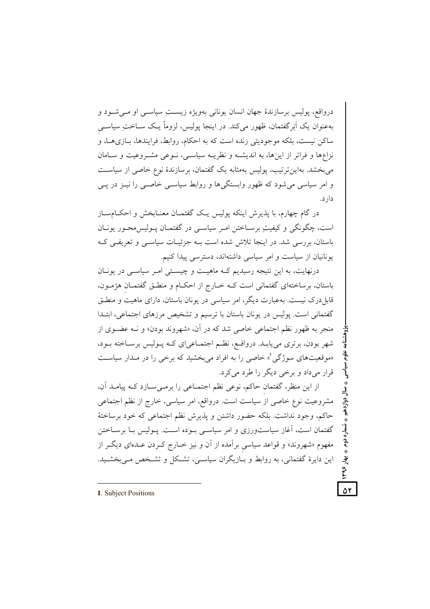درواقع، پولیس برسازندهٔ جهان انسان یونانی بهویژه زیستِ سیاسـی او مـیشـود و بهعنوان یک اَبَرگفتمان، ظهور میکند. در اینجا پولیس، لزوماً یـک ســاختِ سیاســی ساکن نیست، بلکه موجودیتی زنده است که به احکام، روابط، فرایندها، بـازیهـا، و نزاعها و فراتر از اینها، به اندیشـه و نظریـه سیاسـی، نـوعی مشـروعیت و سـامان می بخشد. بهاین ترتیب، یولیس بهمثابه یک گفتمان، برسازندهٔ نوع خاصی از سیاست و امر سیاسی می شود که ظهور وابستگیها و روابط سیاسی خاصبی را نیـز در پـی دار د.

در گام چهارم، با پذیرش اینکه پولیس یک گفتمـان معنـابخش و احکــامسـاز است، چگونگی و کیفیت برسـاختن امـر سیاسـی در گفتمـان پـولیس،محـور یونـان باستان، بررسی شد. در اینجا تلاش شده است بـه جزئیـات سیاســی و تعریفــی کــه یونانیان از سیاست و امر سیاسی داشتهاند، دسترسی پیدا کنیم.

درنهایت، به این نتیجه رسیدیم کـه ماهیـت و چیسـتی امـر سیاسـی در یونـان باستان، برساختهای گفتمانی است کـه خـارج از احکـام و منطـق گفتمـان هژمـون، قابل درک نیست. بهعبارت دیگر، امر سیاسی در یونان باستان، دارای ماهیت و منطــق گفتمانی است. یولیس در یونان باستان با ترسیم و تشخیص مرزهای اجتماعی، ابتـدا منجر به ظهور نظم اجتماعي خاصي شد كه در آن، «شهروند بودن» و نــه عضــوى از شهر بودن، برتری می پابـد. درواقـع، نظـم اجتمـاعی|ی کـه پـولیس برسـاخته بـود، «موقعیتهای سوژگی'» خاصی را به افراد میبخشید که برخی را در مـدار سیاسـت قرار می داد و برخی دیگر را طرد می کرد.

از این منظر، گفتمان حاکم، نوعی نظم اجتمـاعی را برمـیسـازد کـه پیامـد آن، مشروعیت نوع خاصی از سیاست است. درواقع، امر سیاسی، خارج از نظم اجتماعی حاكم، وجود نداشت. بلكه حضور داشتن و يذيرش نظم اجتماعي كه خود برساختهٔ گفتمان است، آغاز سیاستورزی و امر سیاسی بوده است. پـولیس بـا برسـاختن مفهوم «شهروند» و قواعد سیاسی برآمده از آن و نیز خـارج کـردن عـدهای دیگـر از این دایرهٔ گفتمانی، به روابط و بـازیگران سیاسـی، تشـکل و تشـخص مـی بخشـید.

ه شماره دوم **به بهار** 

١٣٩۶,

۵۲

<sup>1.</sup> Subject Positions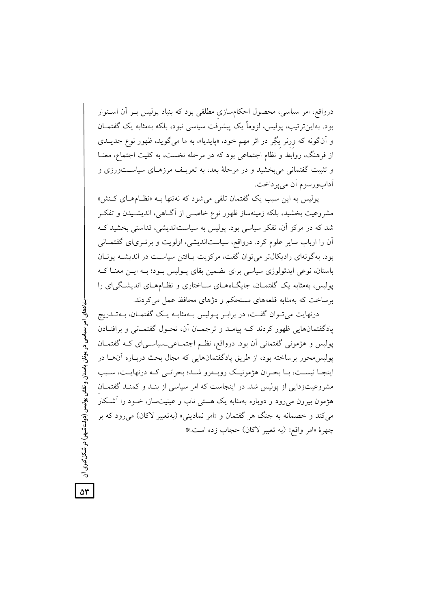درواقع، امر سیاسی، محصول احکامسازی مطلقی بود که بنیاد پولیس بـر آن اسـتوار بود. بهاین ترتیب، پولیس، لزوماً یک پیشرفت سیاسی نبود، بلکه بهمثابه یک گفتمــان و آنگونه که ورنر یگِر در اثر مهم خود، «پایدیا»، به ما میگوید، ظهور نوع جدیــدی از فرهنگ، روابط و نظام اجتماعی بود که در مرحله نخست، به کلیت اجتماع، معنــا و تثبیت گفتمانی می بخشید و در مرحلهٔ بعد، به تعریـف مرزهـای سیاســتورزی و آدابورسوم آن مي پرداخت.

پولیس به این سبب یک گفتمان تلقی می شود که نه تنها بـه «نظـامهـای کـنش» مشروعیت بخشید، بلکه زمینهساز ظهور نوع خاصـبی از آگـاهـی، اندیشـیدن و تفکـر شد که در مرکز آن، تفکر سیاسی بود. پولیس به سیاستاندیشی، قداستی بخشید کـه آن را ارباب سایر علوم کرد. درواقع، سیاستاندیشی، اولویت و برتبریای گفتمــانی بود. بهگونهای رادیکال تر می توان گفت، مرکزیت پـافتن سیاسـت در اندیشـه پونـان باستان، نوعی ایدئولوژی سیاسی برای تضمین بقای پـولیس بـود؛ بـه ایـن معنـا کـه پولیس، بهمثابه یک گفتمـان، جایگـاههـای سـاختاری و نظـامهـای اندیشـگی|ی را برساخت که بهمثابه قلعههای مستحکم و دژهای محافظ عمل می کردند.

درنهایت می تــوان گفــت، در برابـر پــولیس بــهمثابــه یــک گفتمــان، بــهتــدریج یادگفتمانهایی ظهور کردند کـه پیامـد و ترجمـان آن، تحـول گفتمـانی و برافتـادن یولیس و هژمونی گفتمانی آن بود. درواقع، نظـم اجتمــاعی۔سیاســیای کــه گفتمــان پولیس،حور برساخته بود، از طریق پادگفتمانهایی که مجال بحث دربـاره آنهــا در اینجـا نیسـت، بـا بحـران هژمونیـک روبـهرو شـد؛ بحرانـی کـه درنهایـت، سـبب مشروعیتزدایی از پولیس شد. در اینجاست که امر سیاسی از بنـد و کمنـد گفتمـان هژمون بیرون میرود و دوباره بهمثابه یک هستی ناب و عینیتساز، خــود را آشــکار مي كند و خصمانه به جنگ هر گفتمان و «امر نماديني» (بهتعبير لاكان) مي رود كه بر چهرهٔ «امر واقع» (به تعبير لاكان) حجاب زده است.\*

بنیادهای امر سیاسی در یونان باستان و نقش پولیس (دولتشهو) در شکل گیری آن

۵۳